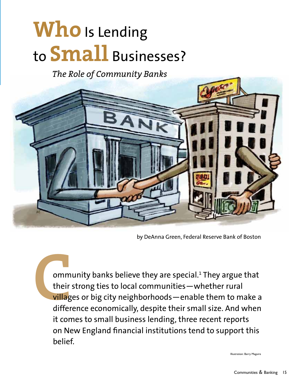# **Who** Is Lending to **Small** Businesses?

*The Role of Community Banks*



by DeAnna Green, Federal Reserve Bank of Boston

**COMM**<br> **COMM**<br> **COMMUNIME:**<br> **COMMUNIME:**<br> **COMMUNIME:**<br> **COMMUNIME:**<br> **COMMUNIME:** ommunity banks believe they are special.<sup>1</sup> They argue that their strong ties to local communities—whether rural villages or big city neighborhoods—enable them to make a difference economically, despite their small size. And when it comes to small business lending, three recent reports on New England financial institutions tend to support this belief.

Illustration: Barry Maguire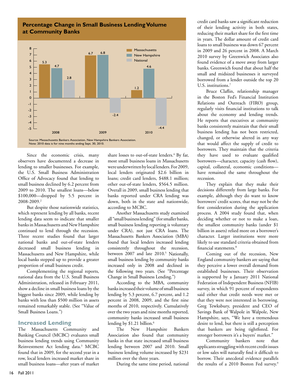## **Percentage Change in Small Business Lending Volume at Community Banks**



Since the economic crisis, many observers have documented a decrease in lending to smaller businesses. For example, the U.S. Small Business Administration Office of Advocacy found that lending to small business declined by 6.2 percent from 2009 to 2010. The smallest loans—below \$100,000—dropped by 5.5 percent in 2008-2009.2

But despite those nationwide statistics, which represent lending by all banks, recent lending data seem to indicate that smaller banks in Massachusetts and New Hampshire continued to lend through the recession. Three recent studies found that larger national banks and out-of-state lenders decreased small business lending in Massachusetts and New Hampshire, while local banks stepped up to provide a greater proportion of small business credit.

Complementing the regional reports, national data from the U.S. Small Business Administration, released in February 2011, show a decline in small business loans by the biggest banks since 2009, while lending by banks with less than \$500 million in assets remained remarkably stable. (See "Value of Small Business Loans.")

#### **Increased Lending**

The Massachusetts Community and Banking Council (MCBC) evaluates small business lending trends using Community Reinvestment Act lending data.3 MCBC found that in 2009, for the second year in a row, local lenders increased market share in small business loans—after years of market

share losses to out-of-state lenders.<sup>4</sup> By far, most small business loans in Massachusetts were underwritten by local lenders. For 2009, local lenders originated \$2.6 billion in loans; credit card lenders, \$488.1 million; other out-of-state lenders, \$564.5 million. Overall in 2009, small business lending that banks reported under CRA lending was down, both in the state and nationwide, according to MCBC.

Another Massachusetts study examined all "small business lending" (for smaller banks, small business lending reporting is voluntary under CRA), not just CRA loans. The Massachusetts Bankers Association (MBA) found that local lenders increased lending consistently throughout the recession, between 2007 and late 2010.<sup>5</sup> Nationally, small business lending by community banks increased only in 2008 and declined in the following two years. (See "Percentage Change in Small Business Lending.")

According to the MBA, community banks increased their volume of small business lending by 5.3 percent, 6.7 percent, and 1.2 percent in 2008, 2009, and the first nine months of 2010, respectively. Cumulatively over the two years and nine months reported, community banks increased small business lending by \$1.21 billion.<sup>6</sup>

The New Hampshire Bankers Association also found that community banks in that state increased small business lending between 2007 and 2010. Small business lending volume increased by \$231 million over the three years.

During the same time period, national

credit card banks saw a significant reduction of their lending activity in both states, reducing their market share for the first time in years. The dollar amount of credit card loans to small business was down 67 percent in 2009 and 26 percent in 2008. A March 2010 survey by Greenwich Associates also found evidence of a move away from larger banks. Greenwich found that about half the small and midsized businesses it surveyed borrowed from a lender outside the top 20 U.S. institutions.<sup>7</sup>

Bruce Claflin, relationship manager in the Boston Fed's Financial Institution Relations and Outreach (FIRO) group, regularly visits financial institutions to talk about the economy and lending trends. He reports that executives at community banks consistently maintain that their small business lending has not been restricted, changed, or otherwise altered in any way that would affect the supply of credit to borrowers. They maintain that the criteria they have used to evaluate qualified borrowers—character, capacity (cash flow), capital, collateral, economic conditions have remained the same throughout the recession.

They explain that they make their decisions differently from large banks. For example, although they do want to know borrowers' credit scores, that may not be the first consideration during the application process. A 2004 study found that, when deciding whether or not to make a loan, the smallest community banks (under \$1 billion in assets) relied more on a borrower's character. Larger institutions were more likely to use standard criteria obtained from financial statements.8

Coming out of the recession, New England community bankers are saying that they perceive a lower overall demand from established businesses. Their observation is supported by a January 2011 National Federation of Independent Business (NFIB) survey, in which 91 percent of respondents said either that credit needs were met or that they were not interested in borrowing. Greg Tewksbury, president and CEO of Savings Bank of Walpole in Walpole, New Hampshire, says, "We have a tremendous desire to lend, but there is still a perception that bankers are being tightfisted. For stronger borrowers it's a buyers' market."

Community bankers note that applicants struggling with recent credit issues or low sales will naturally find it difficult to borrow. Their anecdotal evidence parallels the results of a 2010 Boston Fed survey.<sup>9</sup>